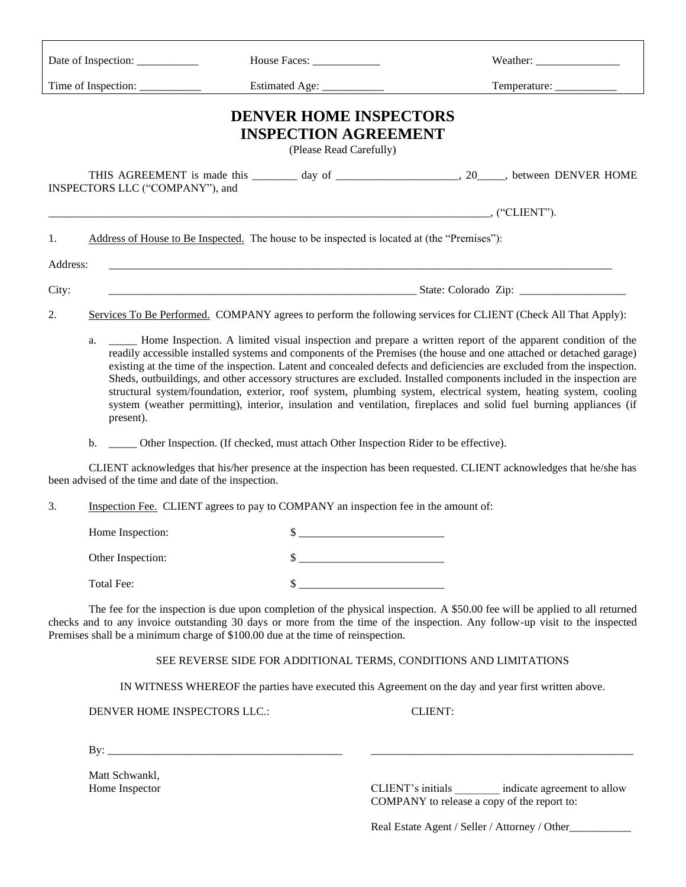|                                                                                                                                                                                                                                                                                                                                                                                                                    |                                                                                                                                                                                                                                                                                                                                                                                                                                                                                                                                                                                                                                                                                                                                                       |  |                             |  | Weather: $\frac{1}{\frac{1}{2} \sum_{i=1}^{n} x_i^2 + \cdots + x_i^2}$                            |  |
|--------------------------------------------------------------------------------------------------------------------------------------------------------------------------------------------------------------------------------------------------------------------------------------------------------------------------------------------------------------------------------------------------------------------|-------------------------------------------------------------------------------------------------------------------------------------------------------------------------------------------------------------------------------------------------------------------------------------------------------------------------------------------------------------------------------------------------------------------------------------------------------------------------------------------------------------------------------------------------------------------------------------------------------------------------------------------------------------------------------------------------------------------------------------------------------|--|-----------------------------|--|---------------------------------------------------------------------------------------------------|--|
|                                                                                                                                                                                                                                                                                                                                                                                                                    |                                                                                                                                                                                                                                                                                                                                                                                                                                                                                                                                                                                                                                                                                                                                                       |  |                             |  |                                                                                                   |  |
| <b>DENVER HOME INSPECTORS</b><br><b>INSPECTION AGREEMENT</b><br>(Please Read Carefully)                                                                                                                                                                                                                                                                                                                            |                                                                                                                                                                                                                                                                                                                                                                                                                                                                                                                                                                                                                                                                                                                                                       |  |                             |  |                                                                                                   |  |
|                                                                                                                                                                                                                                                                                                                                                                                                                    | INSPECTORS LLC ("COMPANY"), and                                                                                                                                                                                                                                                                                                                                                                                                                                                                                                                                                                                                                                                                                                                       |  |                             |  | THIS AGREEMENT is made this ________ day of _______________________, 20_____, between DENVER HOME |  |
|                                                                                                                                                                                                                                                                                                                                                                                                                    |                                                                                                                                                                                                                                                                                                                                                                                                                                                                                                                                                                                                                                                                                                                                                       |  |                             |  |                                                                                                   |  |
| Address of House to Be Inspected. The house to be inspected is located at (the "Premises"):<br>1.                                                                                                                                                                                                                                                                                                                  |                                                                                                                                                                                                                                                                                                                                                                                                                                                                                                                                                                                                                                                                                                                                                       |  |                             |  |                                                                                                   |  |
| Address:                                                                                                                                                                                                                                                                                                                                                                                                           |                                                                                                                                                                                                                                                                                                                                                                                                                                                                                                                                                                                                                                                                                                                                                       |  |                             |  |                                                                                                   |  |
| City:                                                                                                                                                                                                                                                                                                                                                                                                              |                                                                                                                                                                                                                                                                                                                                                                                                                                                                                                                                                                                                                                                                                                                                                       |  |                             |  |                                                                                                   |  |
| 2.                                                                                                                                                                                                                                                                                                                                                                                                                 | Services To Be Performed. COMPANY agrees to perform the following services for CLIENT (Check All That Apply):                                                                                                                                                                                                                                                                                                                                                                                                                                                                                                                                                                                                                                         |  |                             |  |                                                                                                   |  |
|                                                                                                                                                                                                                                                                                                                                                                                                                    | - Home Inspection. A limited visual inspection and prepare a written report of the apparent condition of the<br>a.<br>readily accessible installed systems and components of the Premises (the house and one attached or detached garage)<br>existing at the time of the inspection. Latent and concealed defects and deficiencies are excluded from the inspection.<br>Sheds, outbuildings, and other accessory structures are excluded. Installed components included in the inspection are<br>structural system/foundation, exterior, roof system, plumbing system, electrical system, heating system, cooling<br>system (weather permitting), interior, insulation and ventilation, fireplaces and solid fuel burning appliances (if<br>present). |  |                             |  |                                                                                                   |  |
|                                                                                                                                                                                                                                                                                                                                                                                                                    | b. _______ Other Inspection. (If checked, must attach Other Inspection Rider to be effective).                                                                                                                                                                                                                                                                                                                                                                                                                                                                                                                                                                                                                                                        |  |                             |  |                                                                                                   |  |
| CLIENT acknowledges that his/her presence at the inspection has been requested. CLIENT acknowledges that he/she has<br>been advised of the time and date of the inspection.                                                                                                                                                                                                                                        |                                                                                                                                                                                                                                                                                                                                                                                                                                                                                                                                                                                                                                                                                                                                                       |  |                             |  |                                                                                                   |  |
| 3.                                                                                                                                                                                                                                                                                                                                                                                                                 | Inspection Fee. CLIENT agrees to pay to COMPANY an inspection fee in the amount of:                                                                                                                                                                                                                                                                                                                                                                                                                                                                                                                                                                                                                                                                   |  |                             |  |                                                                                                   |  |
|                                                                                                                                                                                                                                                                                                                                                                                                                    | Home Inspection:                                                                                                                                                                                                                                                                                                                                                                                                                                                                                                                                                                                                                                                                                                                                      |  |                             |  |                                                                                                   |  |
|                                                                                                                                                                                                                                                                                                                                                                                                                    | Other Inspection:                                                                                                                                                                                                                                                                                                                                                                                                                                                                                                                                                                                                                                                                                                                                     |  | $\frac{1}{2}$               |  |                                                                                                   |  |
|                                                                                                                                                                                                                                                                                                                                                                                                                    | Total Fee:                                                                                                                                                                                                                                                                                                                                                                                                                                                                                                                                                                                                                                                                                                                                            |  | $\frac{\text{S}}{\text{S}}$ |  |                                                                                                   |  |
| The fee for the inspection is due upon completion of the physical inspection. A \$50.00 fee will be applied to all returned<br>checks and to any invoice outstanding 30 days or more from the time of the inspection. Any follow-up visit to the inspected<br>Premises shall be a minimum charge of \$100.00 due at the time of reinspection.<br>SEE REVERSE SIDE FOR ADDITIONAL TERMS, CONDITIONS AND LIMITATIONS |                                                                                                                                                                                                                                                                                                                                                                                                                                                                                                                                                                                                                                                                                                                                                       |  |                             |  |                                                                                                   |  |
|                                                                                                                                                                                                                                                                                                                                                                                                                    |                                                                                                                                                                                                                                                                                                                                                                                                                                                                                                                                                                                                                                                                                                                                                       |  |                             |  |                                                                                                   |  |

IN WITNESS WHEREOF the parties have executed this Agreement on the day and year first written above.

DENVER HOME INSPECTORS LLC.: CLIENT:

By: \_\_\_\_\_\_\_\_\_\_\_\_\_\_\_\_\_\_\_\_\_\_\_\_\_\_\_\_\_\_\_\_\_\_\_\_\_\_\_\_\_\_ \_\_\_\_\_\_\_\_\_\_\_\_\_\_\_\_\_\_\_\_\_\_\_\_\_\_\_\_\_\_\_\_\_\_\_\_\_\_\_\_\_\_\_\_\_\_\_

Matt Schwankl,<br>Home Inspector

CLIENT's initials \_\_\_\_\_\_\_\_ indicate agreement to allow COMPANY to release a copy of the report to:

Real Estate Agent / Seller / Attorney / Other\_\_\_\_\_\_\_\_\_\_\_